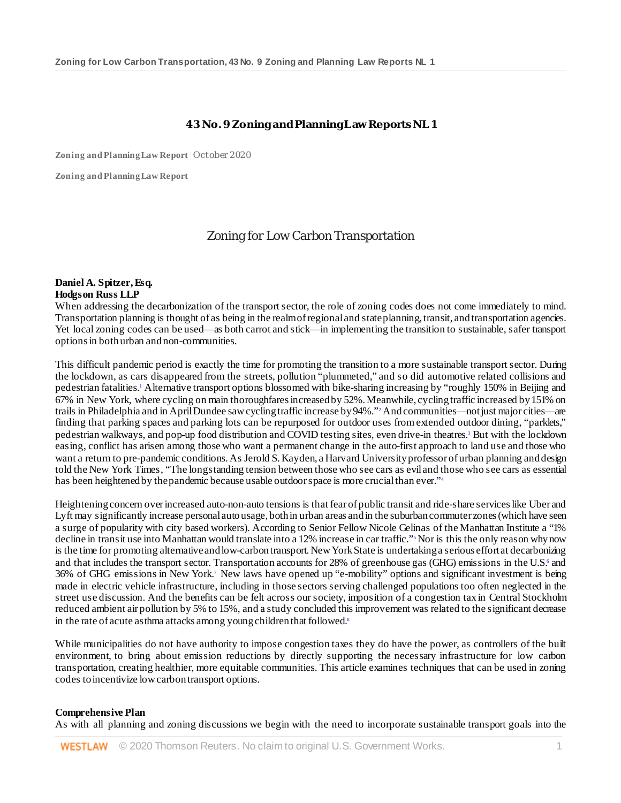## **43 No. 9 Zoning and Planning Law Reports NL 1**

**Zoning and Planning Law Report** | October 2020

**Zoning and Planning Law Report**

# Zoning for Low Carbon Transportation

#### **Daniel A. Spitzer, Esq. Hodgson Russ LLP**

When addressing the decarbonization of the transport sector, the role of zoning codes does not come immediately to mind. Transportation planning is thought of as being in the realm of regional and state planning, transit, and transportation agencies. Yet local zoning codes can be used—as both carrot and stick—in implementing the transition to sustainable, safer transport options in both urban and non-communities.

This difficult pandemic period is exactly the time for promoting the transition to a more sustainable transport sector. During the lockdown, as cars disappeared from the streets, pollution "plummeted," and so did automotive related collisions and pedestrian fatalities.1 Alternative transport options blossomed with bike-sharing increasing by "roughly 150% in Beijing and 67% in New York, where cycling on main thoroughfares increased by 52%. Meanwhile, cycling traffic increased by 151% on trails in Philadelphia and in April Dundee saw cycling traffic increase by 94%."2 And communities—not just major cities—are finding that parking spaces and parking lots can be repurposed for outdoor uses from extended outdoor dining, "parklets," pedestrian walkways, and pop-up food distribution and COVID testing sites, even drive-in theatres.3 But with the lockdown easing, conflict has arisen among those who want a permanent change in the auto-first approach to land use and those who want a return to pre-pandemic conditions. As Jerold S. Kayden, a Harvard University professor of urban planning and design told the New York Times, "The longstanding tension between those who see cars as evil and those who see cars as essential has been heightened by the pandemic because usable outdoor space is more crucial than ever."<sup>4</sup>

Heightening concern over increased auto-non-auto tensions is that fear of public transit and ride-share services like Uber and Lyft may significantly increase personal auto usage, both in urban areas and in the suburban commuter zones (which have seen a surge of popularity with city based workers). According to Senior Fellow Nicole Gelinas of the Manhattan Institute a "1% decline in transit use into Manhattan would translate into a 12% increase in car traffic."<sup>5</sup> Nor is this the only reason why now is the time for promoting alternative and low-carbon transport. New York State is undertaking a serious effort at decarbonizing and that includes the transport sector. Transportation accounts for 28% of greenhouse gas (GHG) emissions in the U.S.<sup>6</sup> and 36% of GHG emissions in New York.7 New laws have opened up "e-mobility" options and significant investment is being made in electric vehicle infrastructure, including in those sectors serving challenged populations too often neglected in the street use discussion. And the benefits can be felt across our society, imposition of a congestion tax in Central Stockholm reduced ambient air pollution by 5% to 15%, and a study concluded this improvement was related to the significant decrease in the rate of acute asthma attacks among young children that followed.<sup>8</sup>

While municipalities do not have authority to impose congestion taxes they do have the power, as controllers of the built environment, to bring about emission reductions by directly supporting the necessary infrastructure for low carbon transportation, creating healthier, more equitable communities. This article examines techniques that can be used in zoning codes to incentivize low carbon transport options.

#### **Comprehensive Plan**

As with all planning and zoning discussions we begin with the need to incorporate sustainable transport goals into the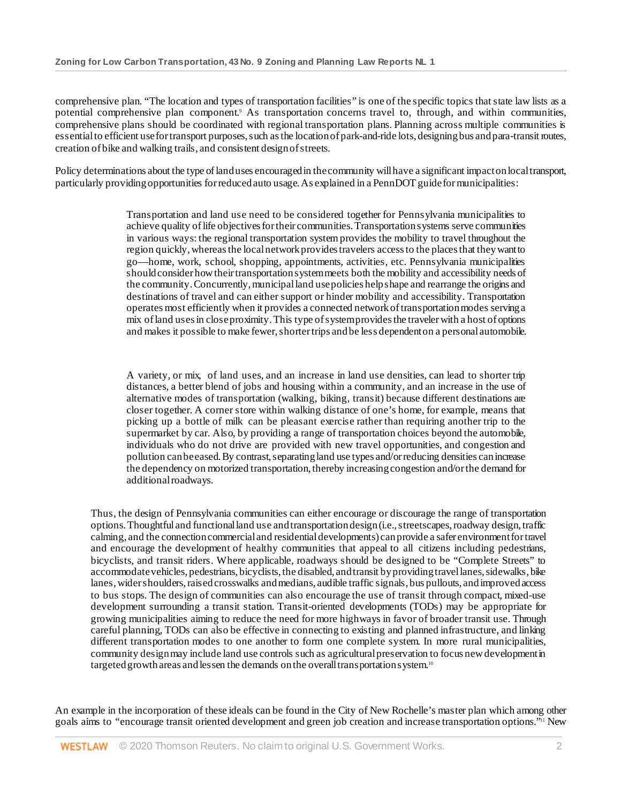comprehensive plan. "The location and types of transportation facilities" is one of the specific topics that state law lists as a potential comprehensive plan component.9 As transportation concerns travel to, through, and within communities, comprehensive plans should be coordinated with regional transportation plans. Planning across multiple communities is essential to efficient use for transport purposes, such as the location of park-and-ride lots, designing bus and para-transit routes, creation of bike and walking trails, and consistent design of streets.

Policy determinations about the type of land uses encouraged in the community will have a significant impact on local transport, particularly providing opportunities for reduced auto usage. As explained in a PennDOT guide for municipalities:

> Transportation and land use need to be considered together for Pennsylvania municipalities to achieve quality of life objectives for their communities. Transportation systems serve communities in various ways: the regional transportation system provides the mobility to travel throughout the region quickly, whereas the local network provides travelers access to the places that they want to go—home, work, school, shopping, appointments, activities, etc. Pennsylvania municipalities should consider how their transportation system meets both the mobility and accessibility needs of the community. Concurrently, municipal land use policies help shape and rearrange the origins and destinations of travel and can either support or hinder mobility and accessibility. Transportation operates most efficiently when it provides a connected network of transportation modes serving a mix of land uses in close proximity. This type of system provides the traveler with a host of options and makes it possible to make fewer, shorter trips and be less dependent on a personal automobile.

> A variety, or mix, of land uses, and an increase in land use densities, can lead to shorter trip distances, a better blend of jobs and housing within a community, and an increase in the use of alternative modes of transportation (walking, biking, transit) because different destinations are closer together. A corner store within walking distance of one's home, for example, means that picking up a bottle of milk can be pleasant exercise rather than requiring another trip to the supermarket by car. Also, by providing a range of transportation choices beyond the automobile, individuals who do not drive are provided with new travel opportunities, and congestion and pollution can be eased. By contrast, separating land use types and/or reducing densities can increase the dependency on motorized transportation, thereby increasing congestion and/or the demand for additional roadways.

Thus, the design of Pennsylvania communities can either encourage or discourage the range of transportation options. Thoughtful and functional land use and transportation design (i.e., streetscapes, roadway design, traffic calming, and the connection commercial and residential developments) can provide a safer environment for travel and encourage the development of healthy communities that appeal to all citizens including pedestrians, bicyclists, and transit riders. Where applicable, roadways should be designed to be "Complete Streets" to accommodate vehicles, pedestrians, bicyclists, the disabled, and transit by providing travel lanes, sidewalks, bike lanes, wider shoulders, raised crosswalks and medians, audible traffic signals, bus pullouts, and improved access to bus stops. The design of communities can also encourage the use of transit through compact, mixed-use development surrounding a transit station. Transit-oriented developments (TODs) may be appropriate for growing municipalities aiming to reduce the need for more highways in favor of broader transit use. Through careful planning, TODs can also be effective in connecting to existing and planned infrastructure, and linking different transportation modes to one another to form one complete system. In more rural municipalities, community design may include land use controls such as agricultural preservation to focus new development in targeted growth areas and lessen the demands on the overall transportation system.<sup>10</sup>

An example in the incorporation of these ideals can be found in the City of New Rochelle's master plan which among other goals aims to "encourage transit oriented development and green job creation and increase transportation options."11 New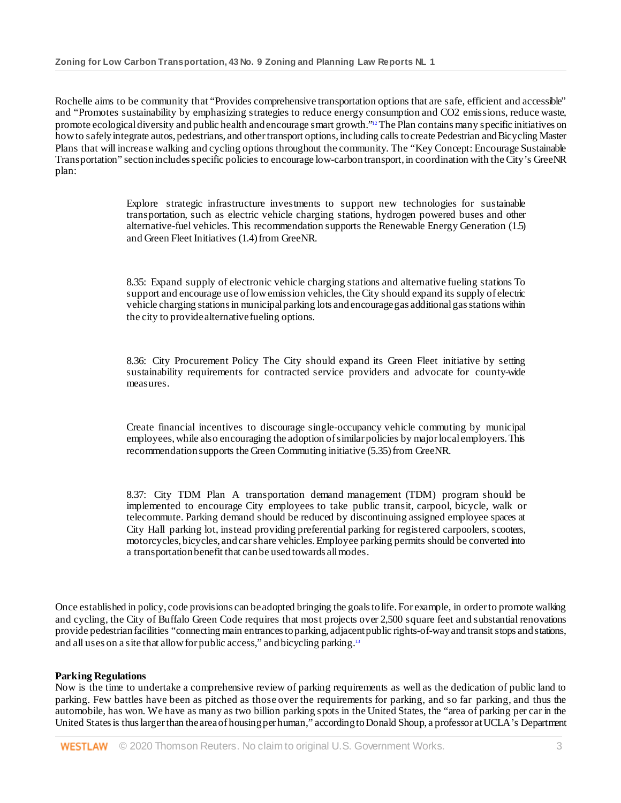Rochelle aims to be community that "Provides comprehensive transportation options that are safe, efficient and accessible" and "Promotes sustainability by emphasizing strategies to reduce energy consumption and CO2 emissions, reduce waste, promote ecological diversity and public health and encourage smart growth."12 The Plan contains many specific initiatives on how to safely integrate autos, pedestrians, and other transport options, including calls to create Pedestrian and Bicycling Master Plans that will increase walking and cycling options throughout the community. The "Key Concept: Encourage Sustainable Transportation" section includes specific policies to encourage low-carbon transport, in coordination with the City's GreeNR plan:

> Explore strategic infrastructure investments to support new technologies for sustainable transportation, such as electric vehicle charging stations, hydrogen powered buses and other alternative-fuel vehicles. This recommendation supports the Renewable Energy Generation (1.5) and Green Fleet Initiatives (1.4) from GreeNR.

> 8.35: Expand supply of electronic vehicle charging stations and alternative fueling stations To support and encourage use of low emission vehicles, the City should expand its supply of electric vehicle charging stations in municipal parking lots and encourage gas additional gas stations within the city to provide alternative fueling options.

> 8.36: City Procurement Policy The City should expand its Green Fleet initiative by setting sustainability requirements for contracted service providers and advocate for county-wide measures.

> Create financial incentives to discourage single-occupancy vehicle commuting by municipal employees, while also encouraging the adoption of similar policies by major local employers. This recommendation supports the Green Commuting initiative (5.35) from GreeNR.

> 8.37: City TDM Plan A transportation demand management (TDM) program should be implemented to encourage City employees to take public transit, carpool, bicycle, walk or telecommute. Parking demand should be reduced by discontinuing assigned employee spaces at City Hall parking lot, instead providing preferential parking for registered carpoolers, scooters, motorcycles, bicycles, and car share vehicles. Employee parking permits should be converted into a transportation benefit that can be used towards all modes.

Once established in policy, code provisions can be adopted bringing the goals to life. For example, in order to promote walking and cycling, the City of Buffalo Green Code requires that most projects over 2,500 square feet and substantial renovations provide pedestrian facilities "connecting main entrances to parking, adjacent public rights-of-way and transit stops and stations, and all uses on a site that allow for public access," and bicycling parking.13

## **Parking Regulations**

Now is the time to undertake a comprehensive review of parking requirements as well as the dedication of public land to parking. Few battles have been as pitched as those over the requirements for parking, and so far parking, and thus the automobile, has won. We have as many as two billion parking spots in the United States, the "area of parking per car in the United States is thus larger than the area of housing per human," according to Donald Shoup, a professor at UCLA's Department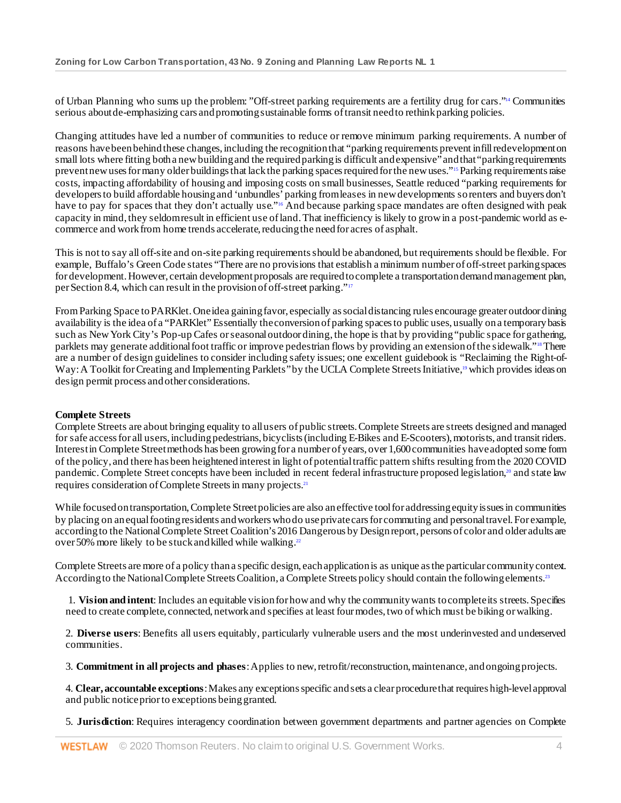of Urban Planning who sums up the problem: "Off-street parking requirements are a fertility drug for cars."14 Communities serious about de-emphasizing cars and promoting sustainable forms of transit need to rethink parking policies.

Changing attitudes have led a number of communities to reduce or remove minimum parking requirements. A number of reasons have been behind these changes, including the recognition that "parking requirements prevent infill redevelopment on small lots where fitting both a new building and the required parking is difficult and expensive"and that "parking requirements prevent new uses for many older buildings that lack the parking spaces required for the new uses."15 Parking requirements raise costs, impacting affordability of housing and imposing costs on small businesses, Seattle reduced "parking requirements for developers to build affordable housing and 'unbundles' parking from leases in new developments so renters and buyers don't have to pay for spaces that they don't actually use."<sup>16</sup> And because parking space mandates are often designed with peak capacity in mind, they seldom result in efficient use of land. That inefficiency is likely to grow in a post-pandemic world as ecommerce and work from home trends accelerate, reducing the need for acres of asphalt.

This is not to say all off-site and on-site parking requirements should be abandoned, but requirements should be flexible. For example, Buffalo's Green Code states "There are no provisions that establish a minimum number of off-street parking spaces for development. However, certain development proposals are required to complete a transportation demand management plan, per Section 8.4, which can result in the provision of off-street parking."17

From Parking Space to PARKlet. One idea gaining favor, especially as social distancing rules encourage greater outdoor dining availability is the idea of a "PARKlet" Essentially the conversion of parking spaces to public uses, usually on a temporary basis such as New York City's Pop-up Cafes or seasonal outdoor dining, the hope is that by providing "public space for gathering, parklets may generate additional foot traffic or improve pedestrian flows by providing an extension of the sidewalk."18 There are a number of design guidelines to consider including safety issues; one excellent guidebook is "Reclaiming the Right-of-Way: A Toolkit for Creating and Implementing Parklets" by the UCLA Complete Streets Initiative,<sup>19</sup> which provides ideas on design permit process and other considerations.

## **Complete Streets**

Complete Streets are about bringing equality to all users of public streets. Complete Streets are streets designed and managed for safe access for all users, including pedestrians, bicyclists (including E-Bikes and E-Scooters), motorists, and transit riders. Interest in Complete Street methods has been growingfor a number of years, over 1,600 communities have adopted some form of the policy, and there has been heightened interest in light of potential traffic pattern shifts resulting from the 2020 COVID pandemic. Complete Street concepts have been included in recent federal infrastructure proposed legislation,<sup>20</sup> and state law requires consideration of Complete Streets in many projects.21

While focused on transportation, Complete Street policies are also an effective tool for addressing equity issues in communities by placing on an equal footing residents and workers who do use private cars for commuting and personal travel. For example, according to the National Complete Street Coalition's 2016 Dangerous by Design report, persons of color and older adults are over 50% more likely to be stuck and killed while walking.<sup>22</sup>

Complete Streets are more of a policy than a specific design, each application is as unique as the particular community context. According to the National Complete Streets Coalition, a Complete Streets policy should contain the following elements.<sup>23</sup>

1. **Vision and intent**: Includes an equitable vision for how and why the community wants to complete its streets. Specifies need to create complete, connected, network and specifies at least four modes, two of which must be biking or walking.

2. **Diverse users**: Benefits all users equitably, particularly vulnerable users and the most underinvested and underserved communities.

3. **Commitment in all projects and phases**: Applies to new, retrofit/reconstruction, maintenance, and ongoing projects.

4. **Clear, accountable exceptions**: Makes any exceptions specific and sets a clear procedure that requires high-level approval and public notice prior to exceptions being granted.

5. **Jurisdiction**: Requires interagency coordination between government departments and partner agencies on Complete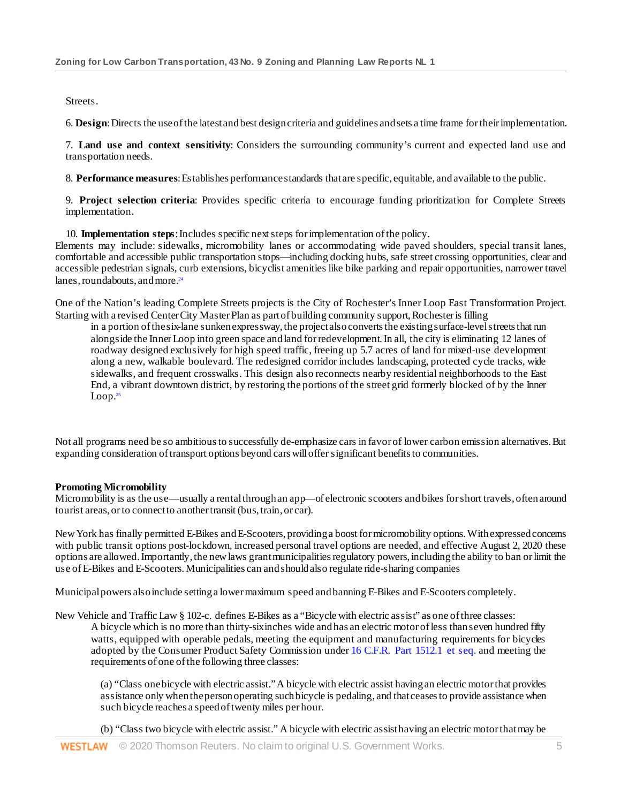Streets.

6. **Design**: Directs the use of the latest and best design criteria and guidelines and sets a time frame for their implementation.

7. **Land use and context sensitivity**: Considers the surrounding community's current and expected land use and transportation needs.

8. **Performance measures**: Establishes performance standards that are specific, equitable, and available to the public.

9. **Project selection criteria**: Provides specific criteria to encourage funding prioritization for Complete Streets implementation.

10. **Implementation steps**: Includes specific next steps for implementation of the policy. Elements may include: sidewalks, micromobility lanes or accommodating wide paved shoulders, special transit lanes, comfortable and accessible public transportation stops—including docking hubs, safe street crossing opportunities, clear and accessible pedestrian signals, curb extensions, bicyclist amenities like bike parking and repair opportunities, narrower travel lanes, roundabouts, and more.<sup>24</sup>

One of the Nation's leading Complete Streets projects is the City of Rochester's Inner Loop East Transformation Project. Starting with a revised Center City Master Plan as part of building community support, Rochester is filling

in a portion of the six-lane sunken expressway, the project also converts the existing surface-level streets that run alongside the Inner Loop into green space and land for redevelopment. In all, the city is eliminating 12 lanes of roadway designed exclusively for high speed traffic, freeing up 5.7 acres of land for mixed-use development along a new, walkable boulevard. The redesigned corridor includes landscaping, protected cycle tracks, wide sidewalks, and frequent crosswalks. This design also reconnects nearby residential neighborhoods to the East End, a vibrant downtown district, by restoring the portions of the street grid formerly blocked of by the Inner  $Loop.<sup>25</sup>$ 

Not all programs need be so ambitious to successfully de-emphasize cars in favor of lower carbon emission alternatives. But expanding consideration of transport options beyond cars will offer significant benefits to communities.

## **Promoting Micromobility**

Micromobility is as the use—usually a rental through an app—of electronic scooters and bikes for short travels, often around tourist areas, or to connect to another transit (bus, train, or car).

New York has finally permitted E-Bikes and E-Scooters, providing a boost for micromobility options. With expressed concerns with public transit options post-lockdown, increased personal travel options are needed, and effective August 2, 2020 these options are allowed. Importantly, the new laws grant municipalities regulatory powers, including the ability to ban or limit the use of E-Bikes and E-Scooters. Municipalities can and should also regulate ride-sharing companies

Municipal powers also include setting a lowermaximum speed and banning E-Bikes and E-Scooters completely.

New Vehicle and Traffic Law § 102-c. defines E-Bikes as a "Bicycle with electric assist" as one of three classes:

A bicycle which is no more than thirty-six inches wide and has an electric motor of less than seven hundred fifty watts, equipped with operable pedals, meeting the equipment and manufacturing requirements for bicycles adopted by the Consumer Product Safety Commission unde[r 16 C.F.R. Part 1512.1 et seq.](http://www.westlaw.com/Link/Document/FullText?findType=L&pubNum=1000547&cite=16CFRS1512.1&originatingDoc=Id280cf3203d011eb8163bffded823b81&refType=LQ&originationContext=document&vr=3.0&rs=cblt1.0&transitionType=DocumentItem&contextData=(sc.Search)) and meeting the requirements of one of the following three classes:

(a) "Class one bicycle with electric assist."A bicycle with electric assist having an electric motor that provides assistance only when the person operating such bicycle is pedaling, and that ceases to provide assistance when such bicycle reaches a speed of twenty miles per hour.

(b) "Class two bicycle with electric assist." A bicycle with electric assist having an electric motorthat may be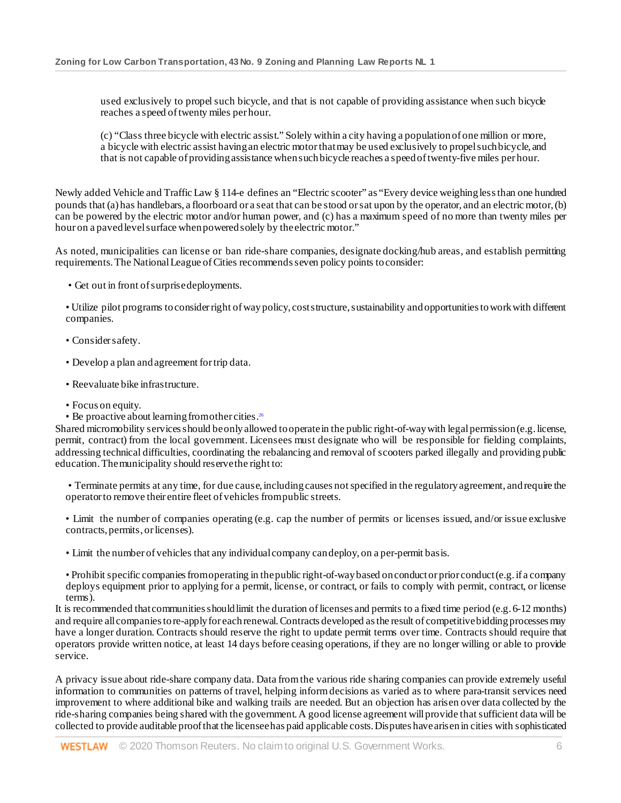used exclusively to propel such bicycle, and that is not capable of providing assistance when such bicycle reaches a speed of twenty miles per hour.

(c) "Class three bicycle with electric assist." Solely within a city having a population of one million or more, a bicycle with electric assist having an electric motor that may be used exclusively to propel such bicycle, and that is not capable of providing assistance when such bicycle reaches a speed of twenty-five miles per hour.

Newly added Vehicle and Traffic Law § 114-e defines an "Electric scooter" as "Every device weighing less than one hundred pounds that (a) has handlebars, a floorboard or a seat that can be stood or sat upon by the operator, and an electric motor, (b) can be powered by the electric motor and/or human power, and (c) has a maximum speed of no more than twenty miles per hour on a paved level surface when powered solely by the electric motor."

As noted, municipalities can license or ban ride-share companies, designate docking/hub areas, and establish permitting requirements. The National League of Cities recommends seven policy points to consider:

• Get out in front of surprise deployments.

• Utilize pilot programs to consider right of way policy, cost structure, sustainability and opportunities to work with different companies.

- Consider safety.
- Develop a plan and agreement for trip data.
- Reevaluate bike infrastructure.
- Focus on equity.
- Be proactive about learning from other cities.<sup>26</sup>

Shared micromobility services should be only allowed to operate in the public right-of-way with legal permission (e.g. license, permit, contract) from the local government. Licensees must designate who will be responsible for fielding complaints, addressing technical difficulties, coordinating the rebalancing and removal of scooters parked illegally and providing public education. The municipality should reserve the right to:

• Terminate permits at any time, for due cause, including causes not specified in the regulatory agreement, and require the operator to remove their entire fleet of vehicles from public streets.

• Limit the number of companies operating (e.g. cap the number of permits or licenses issued, and/or issue exclusive contracts, permits, or licenses).

• Limit the number of vehicles that any individual company can deploy, on a per-permit basis.

• Prohibit specific companies from operating in the public right-of-way based on conduct or prior conduct (e.g. if a company deploys equipment prior to applying for a permit, license, or contract, or fails to comply with permit, contract, or license terms).

It is recommended that communities should limit the duration of licenses and permits to a fixed time period (e.g. 6-12 months) and require all companies to re-apply for each renewal. Contracts developed as the result of competitive bidding processes may have a longer duration. Contracts should reserve the right to update permit terms over time. Contracts should require that operators provide written notice, at least 14 days before ceasing operations, if they are no longer willing or able to provide service.

A privacy issue about ride-share company data. Data from the various ride sharing companies can provide extremely useful information to communities on patterns of travel, helping inform decisions as varied as to where para-transit services need improvement to where additional bike and walking trails are needed. But an objection has arisen over data collected by the ride-sharing companies being shared with the government. A good license agreement will provide that sufficient data will be collected to provide auditable proof that the licensee has paid applicable costs. Disputes have arisen in cities with sophisticated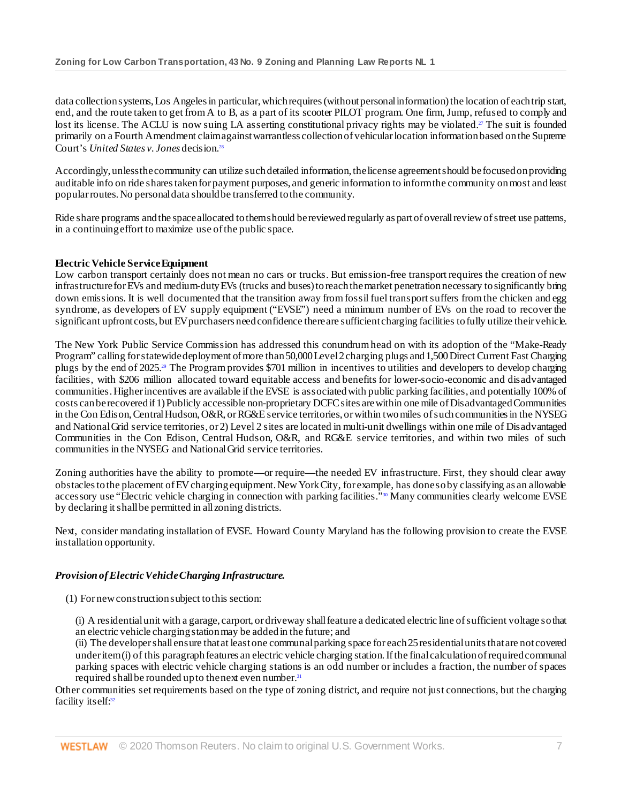data collection systems,Los Angeles in particular, which requires (without personal information) the location of each trip start, end, and the route taken to get from A to B, as a part of its scooter PILOT program. One firm, Jump, refused to comply and lost its license. The ACLU is now suing LA asserting constitutional privacy rights may be violated.<sup>27</sup> The suit is founded primarily on a Fourth Amendment claim against warrantless collection of vehicular location information based on the Supreme Court's *United States v. Jones* decision.28

Accordingly, unless the community can utilize such detailed information, the license agreement should be focused on providing auditable info on ride shares taken for payment purposes, and generic information to inform the community on most and least popular routes. No personal data should be transferred to the community.

Ride share programs and the space allocated to them should be reviewed regularly as part of overall review of street use patterns, in a continuing effort to maximize use of the public space.

### **Electric Vehicle Service Equipment**

Low carbon transport certainly does not mean no cars or trucks. But emission-free transport requires the creation of new infrastructure for EVs and medium-duty EVs (trucks and buses) to reach the market penetration necessary to significantly bring down emissions. It is well documented that the transition away from fossil fuel transport suffers from the chicken and egg syndrome, as developers of EV supply equipment ("EVSE") need a minimum number of EVs on the road to recover the significant upfront costs, but EV purchasers need confidence there are sufficient charging facilities to fully utilize their vehicle.

The New York Public Service Commission has addressed this conundrum head on with its adoption of the "Make-Ready Program" calling for statewide deployment of more than 50,000 Level 2 charging plugs and 1,500 Direct Current Fast Charging plugs by the end of 2025.29 The Program provides \$701 million in incentives to utilities and developers to develop charging facilities, with \$206 million allocated toward equitable access and benefits for lower-socio-economic and disadvantaged communities. Higher incentives are available if the EVSE is associated with public parking facilities, and potentially 100% of costs can be recovered if 1) Publicly accessible non-proprietary DCFC sites are within one mile of Disadvantaged Communities in the Con Edison, Central Hudson, O&R, or RG&E service territories, or within two miles of such communities in the NYSEG and National Grid service territories, or 2) Level 2 sites are located in multi-unit dwellings within one mile of Disadvantaged Communities in the Con Edison, Central Hudson, O&R, and RG&E service territories, and within two miles of such communities in the NYSEG and National Grid service territories.

Zoning authorities have the ability to promote—or require—the needed EV infrastructure. First, they should clear away obstacles to the placement of EV charging equipment. New York City, for example, has done so by classifying as an allowable accessory use "Electric vehicle charging in connection with parking facilities."<sup>30</sup> Many communities clearly welcome EVSE by declaring it shall be permitted in all zoning districts.

Next, consider mandating installation of EVSE. Howard County Maryland has the following provision to create the EVSE installation opportunity.

#### *Provision of Electric Vehicle Charging Infrastructure.*

(1) For new construction subject to this section:

(i) A residential unit with a garage, carport, or driveway shall feature a dedicated electric line of sufficient voltage so that an electric vehicle charging station may be added in the future; and

(ii) The developer shall ensure that at least one communal parking space for each 25 residentialunits that are not covered under item (i) of this paragraph features an electric vehicle charging station. If the final calculation of required communal parking spaces with electric vehicle charging stations is an odd number or includes a fraction, the number of spaces required shall be rounded up to the next even number.<sup>31</sup>

Other communities set requirements based on the type of zoning district, and require not just connections, but the charging facility itself:<sup>32</sup>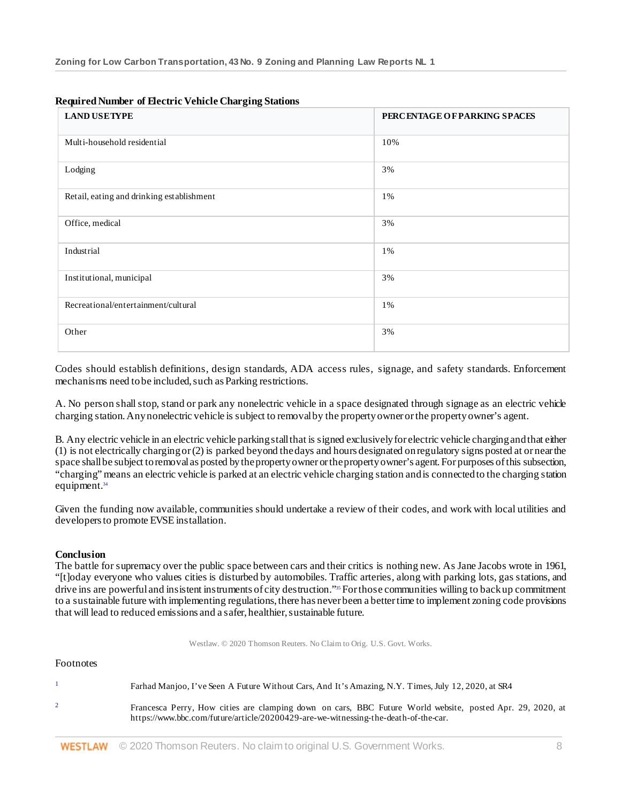| <b>LAND USETYPE</b>                       | PERCENTAGE OF PARKING SPACES |
|-------------------------------------------|------------------------------|
| Multi-household residential               | 10%                          |
| Lodging                                   | 3%                           |
| Retail, eating and drinking establishment | 1%                           |
| Office, medical                           | 3%                           |
| Industrial                                | 1%                           |
| Institutional, municipal                  | 3%                           |
| Recreational/entertainment/cultural       | 1%                           |
| Other                                     | 3%                           |

### **Required Number of Electric Vehicle Charging Stations**

Codes should establish definitions, design standards, ADA access rules, signage, and safety standards. Enforcement mechanisms need to be included, such as Parking restrictions.

A. No person shall stop, stand or park any nonelectric vehicle in a space designated through signage as an electric vehicle charging station. Any nonelectric vehicle is subject to removal by the property owner or the property owner's agent.

B. Any electric vehicle in an electric vehicle parking stall that is signed exclusively for electric vehicle charging and that either (1) is not electrically charging or (2) is parked beyond the days and hours designated on regulatory signs posted at or near the space shall be subject to removal as posted by the property owner or the property owner's agent. For purposes of this subsection, "charging" means an electric vehicle is parked at an electric vehicle charging station and is connected to the charging station equipment.<sup>34</sup>

Given the funding now available, communities should undertake a review of their codes, and work with local utilities and developers to promote EVSE installation.

#### **Conclusion**

The battle for supremacy over the public space between cars and their critics is nothing new. As Jane Jacobs wrote in 1961, "[t]oday everyone who values cities is disturbed by automobiles. Traffic arteries, along with parking lots, gas stations, and drive ins are powerful and insistent instruments of city destruction."<sup>35</sup> For those communities willing to back up commitment to a sustainable future with implementing regulations, there has never been a better time to implement zoning code provisions that will lead to reduced emissions and a safer, healthier, sustainable future.

Westlaw. © 2020 Thomson Reuters. No Claim to Orig. U.S. Govt. Works.

#### Footnotes

| Farhad Manjoo, I've Seen A Future Without Cars, And It's Amazing, N.Y. Times, July 12, 2020, at SR4                                                                                              |
|--------------------------------------------------------------------------------------------------------------------------------------------------------------------------------------------------|
| Francesca Perry, How cities are clamping down on cars, BBC Future World website, posted Apr. 29, 2020, at<br>https://www.bbc.com/future/article/20200429-are-we-witnessing-the-death-of-the-car. |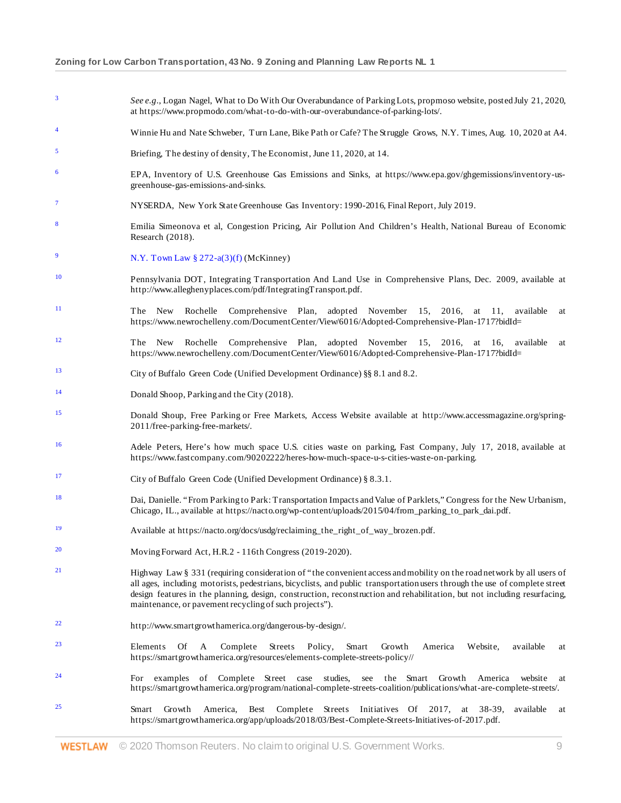<sup>3</sup> *See e.g*., Logan Nagel, What to Do With Our Overabundance of Parking Lots, propmoso website, posted July 21, 2020, at https://www.propmodo.com/what-to-do-with-our-overabundance-of-parking-lots/. <sup>4</sup> Winnie Hu and Nate Schweber, Turn Lane, Bike Path or Cafe? The Struggle Grows, N.Y. Times, Aug. 10, 2020 at A4. <sup>5</sup> Briefing, The destiny of density, The Economist, June 11, 2020, at 14. <sup>6</sup> EPA, Inventory of U.S. Greenhouse Gas Emissions and Sinks, at https://www.epa.gov/ghgemissions/inventory-usgreenhouse-gas-emissions-and-sinks. <sup>7</sup> NYSERDA, New York State Greenhouse Gas Inventory: 1990-2016, Final Report, July 2019. Emilia Simeonova et al, Congestion Pricing, Air Pollution And Children's Health, National Bureau of Economic Research (2018). [N.Y. Town Law § 272-a\(3\)\(f\)](http://www.westlaw.com/Link/Document/FullText?findType=L&pubNum=1000146&cite=NYTWS272-A&originatingDoc=Id280cf3203d011eb8163bffded823b81&refType=LQ&originationContext=document&vr=3.0&rs=cblt1.0&transitionType=DocumentItem&contextData=(sc.Search)) (McKinney) <sup>10</sup> Pennsylvania DOT, Integrating Transportation And Land Use in Comprehensive Plans, Dec. 2009, available at http://www.alleghenyplaces.com/pdf/IntegratingTransport.pdf. <sup>11</sup> The New Rochelle Comprehensive Plan, adopted November 15, 2016, at 11, available at https://www.newrochelleny.com/DocumentCenter/View/6016/Adopted-Comprehensive-Plan-1717?bidId= <sup>12</sup> The New Rochelle Comprehensive Plan, adopted November 15, 2016, at 16, available at https://www.newrochelleny.com/DocumentCenter/View/6016/Adopted-Comprehensive-Plan-1717?bidId= <sup>13</sup> City of Buffalo Green Code (Unified Development Ordinance) §§ 8.1 and 8.2. <sup>14</sup> Donald Shoop, Parking and the City (2018). <sup>15</sup> Donald Shoup, Free Parking or Free Markets, Access Website available at http://www.accessmagazine.org/spring-2011/free-parking-free-markets/. <sup>16</sup> Adele Peters, Here's how much space U.S. cities waste on parking, Fast Company, July 17, 2018, available at https://www.fastcompany.com/90202222/heres-how-much-space-u-s-cities-waste-on-parking. <sup>17</sup> City of Buffalo Green Code (Unified Development Ordinance) § 8.3.1. <sup>18</sup> Dai, Danielle. "From Parking to Park: Transportation Impacts and Value of Parklets," Congress for the New Urbanism, Chicago, IL., available at https://nacto.org/wp-content/uploads/2015/04/from\_parking\_to\_park\_dai.pdf. <sup>19</sup> Available at https://nacto.org/docs/usdg/reclaiming\_the\_right\_of\_way\_brozen.pdf. <sup>20</sup> Moving Forward Act, H.R.2 - 116th Congress (2019-2020). 21 Highway Law § 331 (requiring consideration of "the convenient access and mobility on the road network by all users of all ages, including motorists, pedestrians, bicyclists, and public transportation users through the use of complete street design features in the planning, design, construction, reconstruction and rehabilitation, but not including resurfacing, maintenance, or pavement recycling of such projects"). <sup>22</sup> http://www.smartgrowthamerica.org/dangerous-by-design/. <sup>23</sup> Elements Of A Complete Streets Policy, Smart Growth America Website, available at https://smartgrowthamerica.org/resources/elements-complete-streets-policy// <sup>24</sup> For examples of Complete Street case studies, see the Smart Growth America website at https://smartgrowthamerica.org/program/national-complete-streets-coalition/publications/what-are-complete-streets/. <sup>25</sup> Smart Growth America, Best Complete Streets Initiatives Of 2017, at 38-39, available at https://smartgrowthamerica.org/app/uploads/2018/03/Best-Complete-Streets-Initiatives-of-2017.pdf.